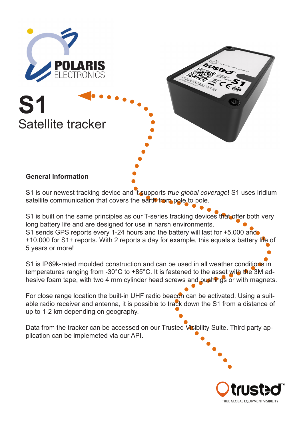





S1 is our newest tracking device and it supports *true global coverage*! S1 uses Iridium satellite communication that covers the earth from pole to pole.

S1 is built on the same principles as our T-series tracking devices that offer both very long battery life and are designed for use in harsh environments. S1 sends GPS reports every 1-24 hours and the battery will last for +5,000 and +10,000 for S1+ reports. With 2 reports a day for example, this equals a battery life of 5 years or more!

S1 is IP69k-rated moulded construction and can be used in all weather conditions in temperatures ranging from -30°C to +85°C. It is fastened to the asset with the 3M adhesive foam tape, with two 4 mm cylinder head screws and bushings or with magnets.

For close range location the built-in UHF radio beacon can be activated. Using a suitable radio receiver and antenna, it is possible to track down the S1 from a distance of up to 1-2 km depending on geography.

Data from the tracker can be accessed on our Trusted Visibility Suite. Third party application can be implemeted via our API.